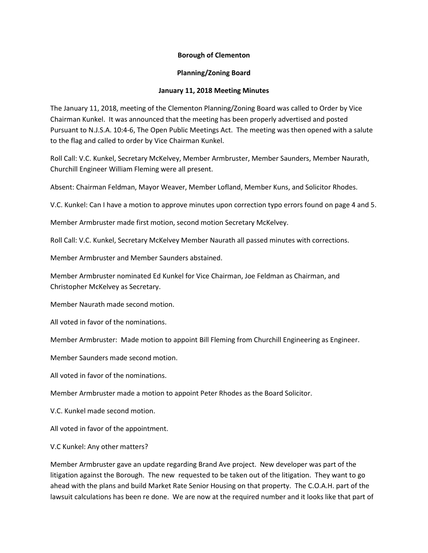## **Borough of Clementon**

## **Planning/Zoning Board**

## **January 11, 2018 Meeting Minutes**

The January 11, 2018, meeting of the Clementon Planning/Zoning Board was called to Order by Vice Chairman Kunkel. It was announced that the meeting has been properly advertised and posted Pursuant to N.J.S.A. 10:4-6, The Open Public Meetings Act. The meeting was then opened with a salute to the flag and called to order by Vice Chairman Kunkel.

Roll Call: V.C. Kunkel, Secretary McKelvey, Member Armbruster, Member Saunders, Member Naurath, Churchill Engineer William Fleming were all present.

Absent: Chairman Feldman, Mayor Weaver, Member Lofland, Member Kuns, and Solicitor Rhodes.

V.C. Kunkel: Can I have a motion to approve minutes upon correction typo errors found on page 4 and 5.

Member Armbruster made first motion, second motion Secretary McKelvey.

Roll Call: V.C. Kunkel, Secretary McKelvey Member Naurath all passed minutes with corrections.

Member Armbruster and Member Saunders abstained.

Member Armbruster nominated Ed Kunkel for Vice Chairman, Joe Feldman as Chairman, and Christopher McKelvey as Secretary.

Member Naurath made second motion.

All voted in favor of the nominations.

Member Armbruster: Made motion to appoint Bill Fleming from Churchill Engineering as Engineer.

Member Saunders made second motion.

All voted in favor of the nominations.

Member Armbruster made a motion to appoint Peter Rhodes as the Board Solicitor.

V.C. Kunkel made second motion.

All voted in favor of the appointment.

V.C Kunkel: Any other matters?

Member Armbruster gave an update regarding Brand Ave project. New developer was part of the litigation against the Borough. The new requested to be taken out of the litigation. They want to go ahead with the plans and build Market Rate Senior Housing on that property. The C.O.A.H. part of the lawsuit calculations has been re done. We are now at the required number and it looks like that part of